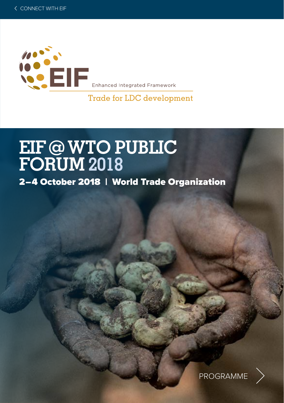

#### Trade for LDC development

# **EIF @ WTO PUBLIC FORUM 2018** 2–4 October 2018 | World Trade Organization

PROGRAMME

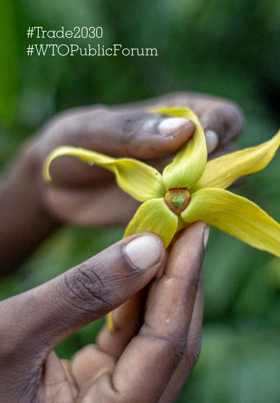# #Trade2030 #WTOPublicForum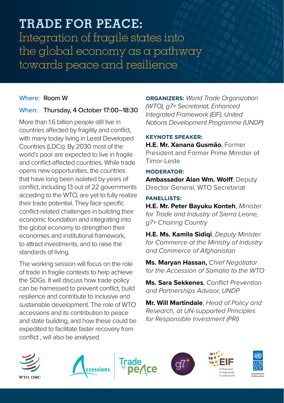### **TRADE FOR PEACE:**

Integration of fragile states into the global economy as a pathway towards peace and resilience

#### Where: Room W

#### When: Thursday, 4 October 17:00–18:30

More than 1.6 billion people still live in countries affected by fragility and conflict, with many today living in Least Developed Countries (LDCs). By 2030 most of the world's poor are expected to live in fragile and conflict-affected countries. While trade opens new opportunities, the countries that have long been isolated by years of conflict, including 13 out of 22 governments acceding to the WTO, are yet to fully realize their trade potential. They face specific conflict-related challenges in building their economic foundation and integrating into the global economy to strengthen their economies and institutional framework, to attract investments, and to raise the standards of living.

The working session will focus on the role of trade in fragile contexts to help achieve the SDGs. It will discuss how trade policy can be harnessed to prevent conflict, build resilience and contribute to inclusive and sustainable development. The role of WTO accessions and its contribution to peace and state building, and how these could be expedited to facilitate faster recovery from conflict , will also be analysed.

**ORGANIZERS:** *World Trade Organization (WTO), g7+ Secretariat, Enhanced Integrated Framework (EIF), United Nations Development Programme (UNDP)*

#### **KEYNOTE SPEAKER:**

**H.E. Mr. Xanana Gusmão**, Former President and Former Prime Minister of Timor-Leste

#### **MODERATOR:**

**Ambassador Alan Wm. Wolff**, Deputy Director General, WTO Secretariat

#### **PANELLISTS:**

**H.E. Mr. Peter Bayuku Konteh**, *Minister for Trade and Industry of Sierra Leone, g7+ Chairing Country*

**H.E. Ms. Kamila Sidiqi**, *Deputy Minister for Commerce at the Ministry of Industry and Commerce of Afghanistan*

**Ms. Maryan Hassan,** *Chief Negotiator for the Accession of Somalia to the WTO*

**Ms. Sara Sekkenes**, *Conflict Prevention and Partnerships Advisor, UNDP* 

**Mr. Will Martindale**, *Head of Policy and Research, at UN-supported Principles for Responsible Investment (PRI)*











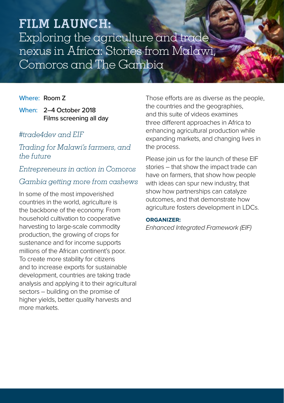**FILM LAUNCH:** Exploring the agriculture and trade nexus in Africa: Stories from Malawi, Comoros and The Gambia

#### Where: Room Z

When: 2–4 October 2018 Films screening all day

#### *#trade4dev and EIF*

#### *Trading for Malawi's farmers, and the future*

*Entrepreneurs in action in Comoros*

#### *Gambia getting more from cashews*

In some of the most impoverished countries in the world, agriculture is the backbone of the economy. From household cultivation to cooperative harvesting to large-scale commodity production, the growing of crops for sustenance and for income supports millions of the African continent's poor. To create more stability for citizens and to increase exports for sustainable development, countries are taking trade analysis and applying it to their agricultural sectors – building on the promise of higher yields, better quality harvests and more markets.

Those efforts are as diverse as the people, the countries and the geographies, and this suite of videos examines three different approaches in Africa to enhancing agricultural production while expanding markets, and changing lives in the process.

Please join us for the launch of these EIF stories – that show the impact trade can have on farmers, that show how people with ideas can spur new industry, that show how partnerships can catalyze outcomes, and that demonstrate how agriculture fosters development in LDCs.

#### **ORGANIZER:**

*Enhanced Integrated Framework (EIF)*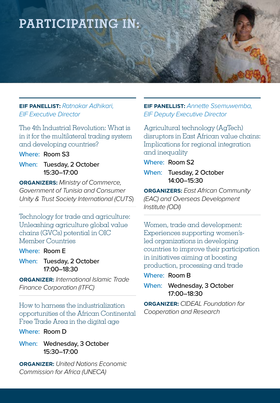## **PARTICIPATING IN:**

#### **EIF PANELLIST:** *Ratnakar Adhikari, EIF Executive Director*

The 4th Industrial Revolution: What is in it for the multilateral trading system and developing countries?

Where: Room S3

When: Tuesday, 2 October 15:30–17:00

**ORGANIZERS:** *Ministry of Commerce, Government of Tunisia and Consumer Unity & Trust Society International (CUTS*)

Technology for trade and agriculture: Unleashing agriculture global value chains (GVCs) potential in OIC Member Countries

#### Where: Room E

When: Tuesday, 2 October 17:00–18:30

**ORGANIZER:** *International Islamic Trade Finance Corporation (ITFC)*

How to harness the industrialization opportunities of the African Continental Free Trade Area in the digital age

Where: Room D

When: Wednesday, 3 October 15:30–17:00

**ORGANIZER:** *United Nations Economic Commission for Africa (UNECA)*

**EIF PANELLIST:** *Annette Ssemuwemba, EIF Deputy Executive Director*

Agricultural technology (AgTech) disruptors in East African value chains: Implications for regional integration and inequality

Where: Room S2

When: Tuesday, 2 October 14:00–15:30

**ORGANIZERS:** *East African Community (EAC) and Overseas Development Institute (ODI)* 

Women, trade and development: Experiences supporting women'sled organizations in developing countries to improve their participation in initiatives aiming at boosting production, processing and trade

Where: Room B

When: Wednesday, 3 October 17:00–18:30

**ORGANIZER:** *CIDEAL Foundation for Cooperation and Research*